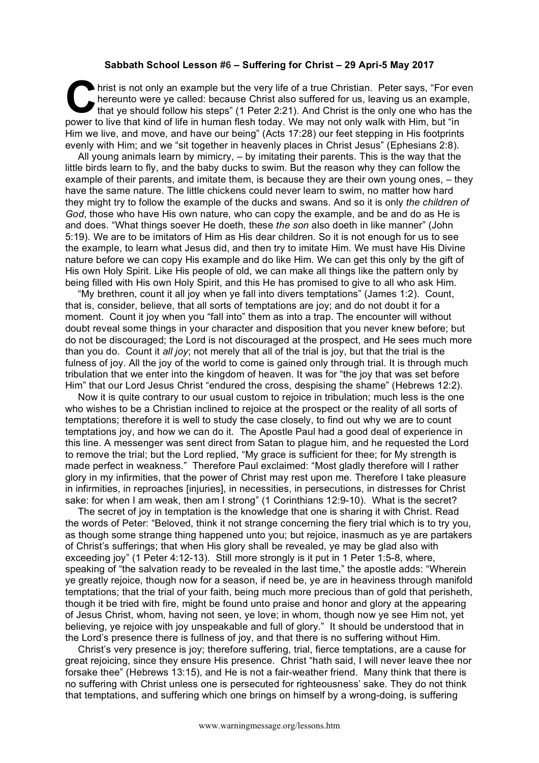## **Sabbath School Lesson #6 – Suffering for Christ – 29 Apri-5 May 2017**

hrist is not only an example but the very life of a true Christian. Peter says, "For even hereunto were ye called: because Christ also suffered for us, leaving us an example, that ye should follow his steps" (1 Peter 2:21) hereunto were ye called: because Christ also suffered for us, leaving us an example, that ye should follow his steps" (1 Peter 2:21). And Christ is the only one who has the power to live that kind of life in human flesh today. We may not only walk with Him, but "in Him we live, and move, and have our being" (Acts 17:28) our feet stepping in His footprints evenly with Him; and we "sit together in heavenly places in Christ Jesus" (Ephesians 2:8).

All young animals learn by mimicry, – by imitating their parents. This is the way that the little birds learn to fly, and the baby ducks to swim. But the reason why they can follow the example of their parents, and imitate them, is because they are their own young ones, – they have the same nature. The little chickens could never learn to swim, no matter how hard they might try to follow the example of the ducks and swans. And so it is only *the children of God*, those who have His own nature, who can copy the example, and be and do as He is and does. "What things soever He doeth, these *the son* also doeth in like manner" (John 5:19). We are to be imitators of Him as His dear children. So it is not enough for us to see the example, to learn what Jesus did, and then try to imitate Him. We must have His Divine nature before we can copy His example and do like Him. We can get this only by the gift of His own Holy Spirit. Like His people of old, we can make all things like the pattern only by being filled with His own Holy Spirit, and this He has promised to give to all who ask Him.

"My brethren, count it all joy when ye fall into divers temptations" (James 1:2). Count, that is, consider, believe, that all sorts of temptations are joy; and do not doubt it for a moment. Count it joy when you "fall into" them as into a trap. The encounter will without doubt reveal some things in your character and disposition that you never knew before; but do not be discouraged; the Lord is not discouraged at the prospect, and He sees much more than you do. Count it *all joy*; not merely that all of the trial is joy, but that the trial is the fulness of joy. All the joy of the world to come is gained only through trial. It is through much tribulation that we enter into the kingdom of heaven. It was for "the joy that was set before Him" that our Lord Jesus Christ "endured the cross, despising the shame" (Hebrews 12:2).

Now it is quite contrary to our usual custom to rejoice in tribulation; much less is the one who wishes to be a Christian inclined to rejoice at the prospect or the reality of all sorts of temptations; therefore it is well to study the case closely, to find out why we are to count temptations joy, and how we can do it. The Apostle Paul had a good deal of experience in this line. A messenger was sent direct from Satan to plague him, and he requested the Lord to remove the trial; but the Lord replied, "My grace is sufficient for thee; for My strength is made perfect in weakness." Therefore Paul exclaimed: "Most gladly therefore will I rather glory in my infirmities, that the power of Christ may rest upon me. Therefore I take pleasure in infirmities, in reproaches [injuries], in necessities, in persecutions, in distresses for Christ sake: for when I am weak, then am I strong" (1 Corinthians 12:9-10). What is the secret?

The secret of joy in temptation is the knowledge that one is sharing it with Christ. Read the words of Peter: "Beloved, think it not strange concerning the fiery trial which is to try you, as though some strange thing happened unto you; but rejoice, inasmuch as ye are partakers of Christ's sufferings; that when His glory shall be revealed, ye may be glad also with exceeding joy" (1 Peter 4:12-13). Still more strongly is it put in 1 Peter 1:5-8, where, speaking of "the salvation ready to be revealed in the last time," the apostle adds: "Wherein ye greatly rejoice, though now for a season, if need be, ye are in heaviness through manifold temptations; that the trial of your faith, being much more precious than of gold that perisheth, though it be tried with fire, might be found unto praise and honor and glory at the appearing of Jesus Christ, whom, having not seen, ye love; in whom, though now ye see Him not, yet believing, ye rejoice with joy unspeakable and full of glory." It should be understood that in the Lord's presence there is fullness of joy, and that there is no suffering without Him.

Christ's very presence is joy; therefore suffering, trial, fierce temptations, are a cause for great rejoicing, since they ensure His presence. Christ "hath said, I will never leave thee nor forsake thee" (Hebrews 13:15), and He is not a fair-weather friend. Many think that there is no suffering with Christ unless one is persecuted for righteousness' sake. They do not think that temptations, and suffering which one brings on himself by a wrong-doing, is suffering